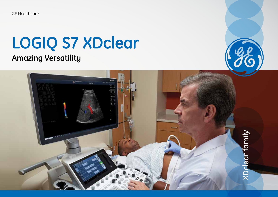GE Healthcare

# **LOGIQ S7 XDclear Amazing Versatility**

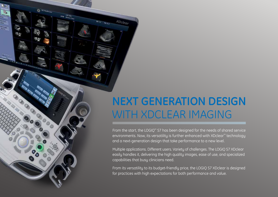## **NEXT GENERATION DESIGN**  WITH XDCLEAR IMAGING

**XDclear** 

3000

From the start, the LOGIQ™ S7 has been designed for the needs of shared service environments. Now, its versatility is further enhanced with XDclear™ technology and a next-generation design that take performance to a new level.

Multiple applications. Different users. Variety of challenges. The LOGIQ S7 XDclear easily handles it, delivering the high quality images, ease of use, and specialized capabilities that busy clinicians need.

From its versatility to its budget-friendly price, the LOGIQ S7 XDclear is designed for practices with high expectations for both performance and value.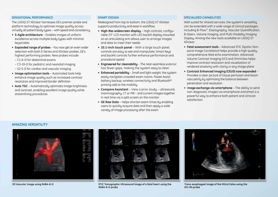#### **SENSATIONAL PERFORMANCE**

The LOGIQ S7 XDclear harnesses GE's premier probe and platform technology to optimize image quality across virtually all patient body types – with speed and consistency.

- **S-Agile architecture** Enables images of uniform excellence across multiple body types with minimal keystrokes
- **Expanded range of probes** You now get an even wider selection with both E-Series and XDclear probes, GE's highest performing probes. New probes include:
	- C1-6-D for abdominal exams
	- C3-10-D for pediatric and neonatal imaging
- S2-5-D for cardiac and vascular imaging
- **Image optimization tools** Automated tools help enhance image quality such as increased contrast resolution and improved border definition
- **Auto TGC** Automatically optimizes image brightness and contrast, enabling excellent image quality while streamlining procedures

#### **SMART DESIGN**

Redesigned from top to bottom, the LOGIQ S7 XDclear supports productivity and ease in workflow.

- **High-Res widescreen display** High contrast, configurable 23'' LCD monitor with LED backlit display mounted on an articulating arm allows user to arrange images and data to meet their needs
- **10.1-inch touch panel**  With a large touch panel, controls are easy to see and manipulate. Smart keys and backlit controls further enhance performance and procedural speed
- **Engineered for cleanability** The near-seamless exterior has fewer gaps, making the system easy to clean
- **Enhanced portability** Small and light-weight, the system easily navigates crowded exam rooms. Power Assist battery backup, wireless connectivity and Bluetooth® printing add to the mobility
- **Compare Assistant**  View a prior study ultrasound, mammography, CT or MR – and current images together in real time via a split screen on the monitor
- **GE Raw Data**  Helps shorten exam times by enabling users to quickly acquire data and then apply a wide variety of image processing after the exam

#### **SPECIALIZED CAPABILITIES**

Well-suited for shared services, the sustem's versatility can be extended with a wide range of clinical packages, including B-Flow™, Elastography, Vascular Quantification, B-Steer+, Volume Imaging, and Multi-Modality Imaging Display. Among the new tools available on LOGIQ S7 XDclear:

- **Fetal assessment tools** Advanced STIC (Spatio-Temporal Image Correlation) helps provide a high quality, comprehensive fetal echo examination. Advanced Volume Contrast Imaging (VCI) and OmniView helps improve contrast resolution and visualization of rendered anatomy with clarity in any image plane
- **Contrast Enhanced Imaging (CEUS) now expanded**  Provides a clear picture of tissue perfusion and lesion vascularity by optimizing the balance between penetration and resolution
- I**mage exchange via smartphone** The ability to send non-diagnostic images via smartphone and email is a powerful way to enhance both patient and clinician satisfaction

#### **AMAZING VERSATILITY**





**3D Vascular image using RAB4-8-D STIC Tomographic Ultrasound Image of a fetal heart using the RAB4-8-D probe**



**Trans-esophageal image of the Mitral Valve using the 6Tc-RS probe**